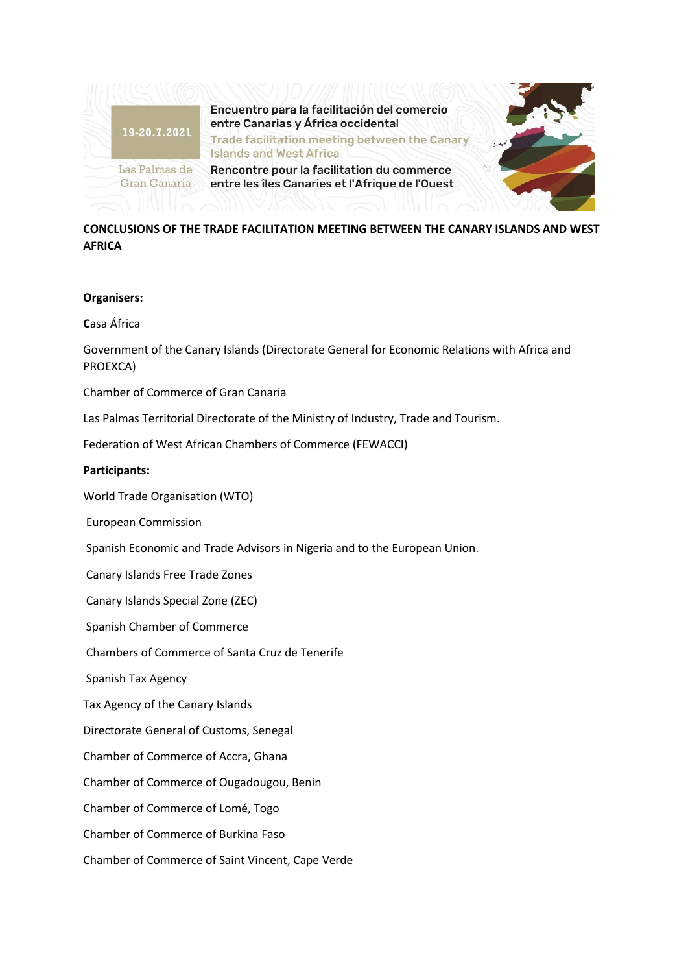

**CONCLUSIONS OF THE TRADE FACILITATION MEETING BETWEEN THE CANARY ISLANDS AND WEST AFRICA** 

## **Organisers:**

**C**asa África

Government of the Canary Islands (Directorate General for Economic Relations with Africa and PROEXCA)

Chamber of Commerce of Gran Canaria

Las Palmas Territorial Directorate of the Ministry of Industry, Trade and Tourism.

Federation of West African Chambers of Commerce (FEWACCI)

## **Participants:**

World Trade Organisation (WTO)

European Commission

Spanish Economic and Trade Advisors in Nigeria and to the European Union.

Canary Islands Free Trade Zones

Canary Islands Special Zone (ZEC)

Spanish Chamber of Commerce

Chambers of Commerce of Santa Cruz de Tenerife

Spanish Tax Agency

Tax Agency of the Canary Islands

Directorate General of Customs, Senegal

Chamber of Commerce of Accra, Ghana

Chamber of Commerce of Ougadougou, Benin

Chamber of Commerce of Lomé, Togo

Chamber of Commerce of Burkina Faso

Chamber of Commerce of Saint Vincent, Cape Verde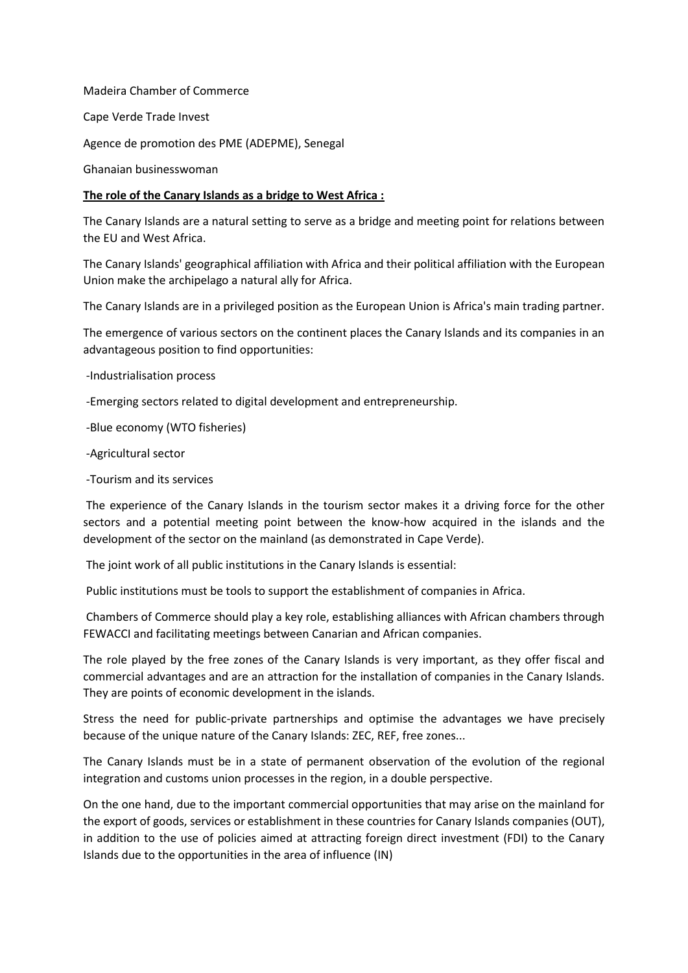Madeira Chamber of Commerce

Cape Verde Trade Invest

Agence de promotion des PME (ADEPME), Senegal

Ghanaian businesswoman

## **The role of the Canary Islands as a bridge to West Africa :**

The Canary Islands are a natural setting to serve as a bridge and meeting point for relations between the EU and West Africa.

The Canary Islands' geographical affiliation with Africa and their political affiliation with the European Union make the archipelago a natural ally for Africa.

The Canary Islands are in a privileged position as the European Union is Africa's main trading partner.

The emergence of various sectors on the continent places the Canary Islands and its companies in an advantageous position to find opportunities:

-Industrialisation process

-Emerging sectors related to digital development and entrepreneurship.

-Blue economy (WTO fisheries)

-Agricultural sector

-Tourism and its services

The experience of the Canary Islands in the tourism sector makes it a driving force for the other sectors and a potential meeting point between the know-how acquired in the islands and the development of the sector on the mainland (as demonstrated in Cape Verde).

The joint work of all public institutions in the Canary Islands is essential:

Public institutions must be tools to support the establishment of companies in Africa.

Chambers of Commerce should play a key role, establishing alliances with African chambers through FEWACCI and facilitating meetings between Canarian and African companies.

The role played by the free zones of the Canary Islands is very important, as they offer fiscal and commercial advantages and are an attraction for the installation of companies in the Canary Islands. They are points of economic development in the islands.

Stress the need for public-private partnerships and optimise the advantages we have precisely because of the unique nature of the Canary Islands: ZEC, REF, free zones...

The Canary Islands must be in a state of permanent observation of the evolution of the regional integration and customs union processes in the region, in a double perspective.

On the one hand, due to the important commercial opportunities that may arise on the mainland for the export of goods, services or establishment in these countries for Canary Islands companies (OUT), in addition to the use of policies aimed at attracting foreign direct investment (FDI) to the Canary Islands due to the opportunities in the area of influence (IN)